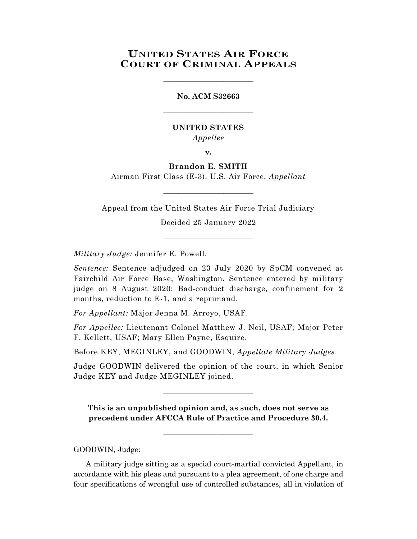# **UNITED STATES AIR FORCE COURT OF CRIMINAL APPEALS**

\_\_\_\_\_\_\_\_\_\_\_\_\_\_\_\_\_\_\_\_\_\_\_\_

# **No. ACM S32663** \_\_\_\_\_\_\_\_\_\_\_\_\_\_\_\_\_\_\_\_\_\_\_\_

## **UNITED STATES** *Appellee*

**v.**

# **Brandon E. SMITH**

Airman First Class (E-3), U.S. Air Force, *Appellant*  $\_$ 

Appeal from the United States Air Force Trial Judiciary

Decided 25 January 2022 \_\_\_\_\_\_\_\_\_\_\_\_\_\_\_\_\_\_\_\_\_\_\_\_

*Military Judge:* Jennifer E. Powell.

*Sentence:* Sentence adjudged on 23 July 2020 by SpCM convened at Fairchild Air Force Base, Washington. Sentence entered by military judge on 8 August 2020: Bad-conduct discharge, confinement for 2 months, reduction to E-1, and a reprimand.

*For Appellant:* Major Jenna M. Arroyo, USAF.

*For Appellee:* Lieutenant Colonel Matthew J. Neil, USAF; Major Peter F. Kellett, USAF; Mary Ellen Payne, Esquire.

Before KEY, MEGINLEY, and GOODWIN, *Appellate Military Judges.*

Judge GOODWIN delivered the opinion of the court, in which Senior Judge KEY and Judge MEGINLEY joined.

\_\_\_\_\_\_\_\_\_\_\_\_\_\_\_\_\_\_\_\_\_\_\_\_

**This is an unpublished opinion and, as such, does not serve as precedent under AFCCA Rule of Practice and Procedure 30.4.**

 $\_$ 

GOODWIN, Judge:

A military judge sitting as a special court-martial convicted Appellant, in accordance with his pleas and pursuant to a plea agreement, of one charge and four specifications of wrongful use of controlled substances, all in violation of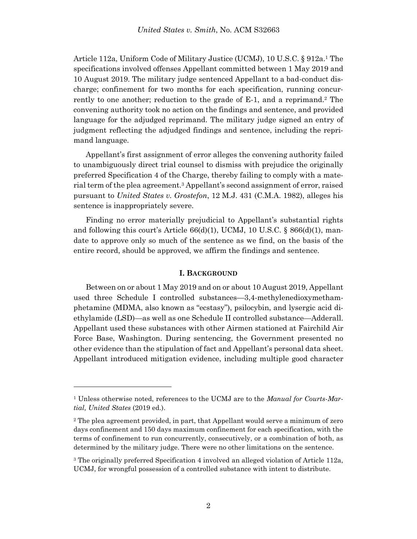Article 112a, Uniform Code of Military Justice (UCMJ), 10 U.S.C. § 912a.<sup>1</sup> The specifications involved offenses Appellant committed between 1 May 2019 and 10 August 2019. The military judge sentenced Appellant to a bad-conduct discharge; confinement for two months for each specification, running concurrently to one another; reduction to the grade of  $E-1$ , and a reprimand.<sup>2</sup> The convening authority took no action on the findings and sentence, and provided language for the adjudged reprimand. The military judge signed an entry of judgment reflecting the adjudged findings and sentence, including the reprimand language.

Appellant's first assignment of error alleges the convening authority failed to unambiguously direct trial counsel to dismiss with prejudice the originally preferred Specification 4 of the Charge, thereby failing to comply with a material term of the plea agreement.<sup>3</sup> Appellant's second assignment of error, raised pursuant to *United States v. Grostefon*, 12 M.J. 431 (C.M.A. 1982), alleges his sentence is inappropriately severe.

Finding no error materially prejudicial to Appellant's substantial rights and following this court's Article  $66(d)(1)$ , UCMJ, 10 U.S.C. §  $866(d)(1)$ , mandate to approve only so much of the sentence as we find, on the basis of the entire record, should be approved, we affirm the findings and sentence.

#### **I. BACKGROUND**

Between on or about 1 May 2019 and on or about 10 August 2019, Appellant used three Schedule I controlled substances—3,4-methylenedioxymethamphetamine (MDMA, also known as "ecstasy"), psilocybin, and lysergic acid diethylamide (LSD)—as well as one Schedule II controlled substance—Adderall. Appellant used these substances with other Airmen stationed at Fairchild Air Force Base, Washington. During sentencing, the Government presented no other evidence than the stipulation of fact and Appellant's personal data sheet. Appellant introduced mitigation evidence, including multiple good character

l

<sup>1</sup> Unless otherwise noted, references to the UCMJ are to the *Manual for Courts-Martial, United States* (2019 ed.).

<sup>2</sup> The plea agreement provided, in part, that Appellant would serve a minimum of zero days confinement and 150 days maximum confinement for each specification, with the terms of confinement to run concurrently, consecutively, or a combination of both, as determined by the military judge. There were no other limitations on the sentence.

<sup>3</sup> The originally preferred Specification 4 involved an alleged violation of Article 112a, UCMJ, for wrongful possession of a controlled substance with intent to distribute.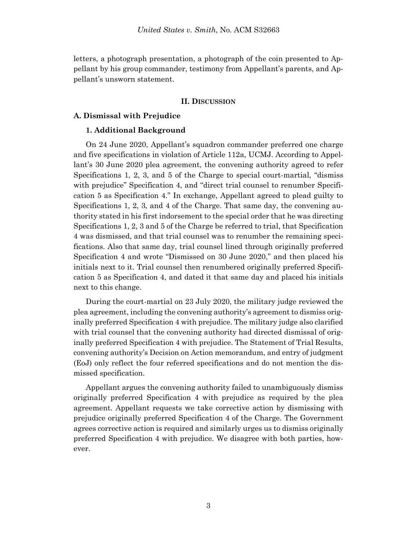letters, a photograph presentation, a photograph of the coin presented to Appellant by his group commander, testimony from Appellant's parents, and Appellant's unsworn statement.

#### **II. DISCUSSION**

## **A. Dismissal with Prejudice**

#### **1. Additional Background**

On 24 June 2020, Appellant's squadron commander preferred one charge and five specifications in violation of Article 112a, UCMJ. According to Appellant's 30 June 2020 plea agreement, the convening authority agreed to refer Specifications 1, 2, 3, and 5 of the Charge to special court-martial, "dismiss with prejudice" Specification 4, and "direct trial counsel to renumber Specification 5 as Specification 4." In exchange, Appellant agreed to plead guilty to Specifications 1, 2, 3, and 4 of the Charge. That same day, the convening authority stated in his first indorsement to the special order that he was directing Specifications 1, 2, 3 and 5 of the Charge be referred to trial, that Specification 4 was dismissed, and that trial counsel was to renumber the remaining specifications. Also that same day, trial counsel lined through originally preferred Specification 4 and wrote "Dismissed on 30 June 2020," and then placed his initials next to it. Trial counsel then renumbered originally preferred Specification 5 as Specification 4, and dated it that same day and placed his initials next to this change.

During the court-martial on 23 July 2020, the military judge reviewed the plea agreement, including the convening authority's agreement to dismiss originally preferred Specification 4 with prejudice. The military judge also clarified with trial counsel that the convening authority had directed dismissal of originally preferred Specification 4 with prejudice. The Statement of Trial Results, convening authority's Decision on Action memorandum, and entry of judgment (EoJ) only reflect the four referred specifications and do not mention the dismissed specification.

Appellant argues the convening authority failed to unambiguously dismiss originally preferred Specification 4 with prejudice as required by the plea agreement. Appellant requests we take corrective action by dismissing with prejudice originally preferred Specification 4 of the Charge. The Government agrees corrective action is required and similarly urges us to dismiss originally preferred Specification 4 with prejudice. We disagree with both parties, however.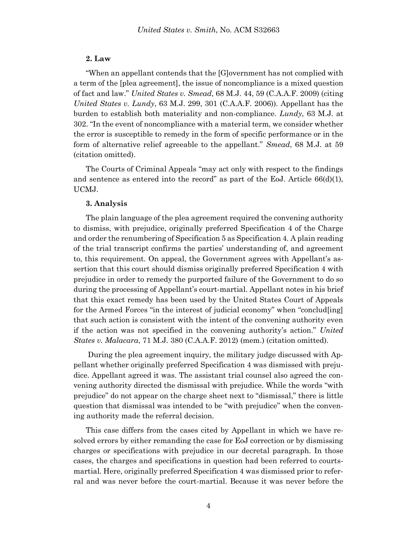### **2. Law**

"When an appellant contends that the [G]overnment has not complied with a term of the [plea agreement], the issue of noncompliance is a mixed question of fact and law." *United States v. Smead*, 68 M.J. 44, 59 (C.A.A.F. 2009) (citing *United States v. Lundy*, 63 M.J. 299, 301 (C.A.A.F. 2006)). Appellant has the burden to establish both materiality and non-compliance. *Lundy*, 63 M.J. at 302. "In the event of noncompliance with a material term, we consider whether the error is susceptible to remedy in the form of specific performance or in the form of alternative relief agreeable to the appellant." *Smead*, 68 M.J. at 59 (citation omitted).

The Courts of Criminal Appeals "may act only with respect to the findings and sentence as entered into the record" as part of the EoJ. Article  $66(d)(1)$ , UCMJ.

#### **3. Analysis**

The plain language of the plea agreement required the convening authority to dismiss, with prejudice, originally preferred Specification 4 of the Charge and order the renumbering of Specification 5 as Specification 4. A plain reading of the trial transcript confirms the parties' understanding of, and agreement to, this requirement. On appeal, the Government agrees with Appellant's assertion that this court should dismiss originally preferred Specification 4 with prejudice in order to remedy the purported failure of the Government to do so during the processing of Appellant's court-martial. Appellant notes in his brief that this exact remedy has been used by the United States Court of Appeals for the Armed Forces "in the interest of judicial economy" when "conclud[ing] that such action is consistent with the intent of the convening authority even if the action was not specified in the convening authority's action." *United States v. Malacara*, 71 M.J. 380 (C.A.A.F. 2012) (mem.) (citation omitted).

During the plea agreement inquiry, the military judge discussed with Appellant whether originally preferred Specification 4 was dismissed with prejudice. Appellant agreed it was. The assistant trial counsel also agreed the convening authority directed the dismissal with prejudice. While the words "with prejudice" do not appear on the charge sheet next to "dismissal," there is little question that dismissal was intended to be "with prejudice" when the convening authority made the referral decision.

This case differs from the cases cited by Appellant in which we have resolved errors by either remanding the case for EoJ correction or by dismissing charges or specifications with prejudice in our decretal paragraph. In those cases, the charges and specifications in question had been referred to courtsmartial. Here, originally preferred Specification 4 was dismissed prior to referral and was never before the court-martial. Because it was never before the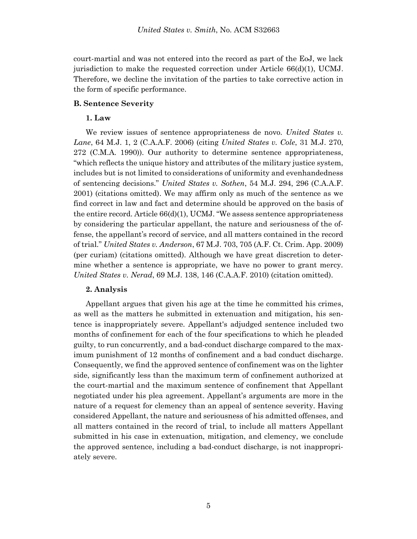court-martial and was not entered into the record as part of the EoJ, we lack jurisdiction to make the requested correction under Article 66(d)(1), UCMJ. Therefore, we decline the invitation of the parties to take corrective action in the form of specific performance.

## **B. Sentence Severity**

## **1. Law**

We review issues of sentence appropriateness de novo. *United States v. Lane*, 64 M.J. 1, 2 (C.A.A.F. 2006) (citing *United States v. Cole*, 31 M.J. 270, 272 (C.M.A. 1990)). Our authority to determine sentence appropriateness, "which reflects the unique history and attributes of the military justice system, includes but is not limited to considerations of uniformity and evenhandedness of sentencing decisions." *United States v. Sothen*, 54 M.J. 294, 296 (C.A.A.F. 2001) (citations omitted). We may affirm only as much of the sentence as we find correct in law and fact and determine should be approved on the basis of the entire record. Article  $66(d)(1)$ , UCMJ. "We assess sentence appropriateness by considering the particular appellant, the nature and seriousness of the offense, the appellant's record of service, and all matters contained in the record of trial." *United States v. Anderson*, 67 M.J. 703, 705 (A.F. Ct. Crim. App. 2009) (per curiam) (citations omitted). Although we have great discretion to determine whether a sentence is appropriate, we have no power to grant mercy. *United States v. Nerad*, 69 M.J. 138, 146 (C.A.A.F. 2010) (citation omitted).

### **2. Analysis**

Appellant argues that given his age at the time he committed his crimes, as well as the matters he submitted in extenuation and mitigation, his sentence is inappropriately severe. Appellant's adjudged sentence included two months of confinement for each of the four specifications to which he pleaded guilty, to run concurrently, and a bad-conduct discharge compared to the maximum punishment of 12 months of confinement and a bad conduct discharge. Consequently, we find the approved sentence of confinement was on the lighter side, significantly less than the maximum term of confinement authorized at the court-martial and the maximum sentence of confinement that Appellant negotiated under his plea agreement. Appellant's arguments are more in the nature of a request for clemency than an appeal of sentence severity. Having considered Appellant, the nature and seriousness of his admitted offenses, and all matters contained in the record of trial, to include all matters Appellant submitted in his case in extenuation, mitigation, and clemency, we conclude the approved sentence, including a bad-conduct discharge, is not inappropriately severe.